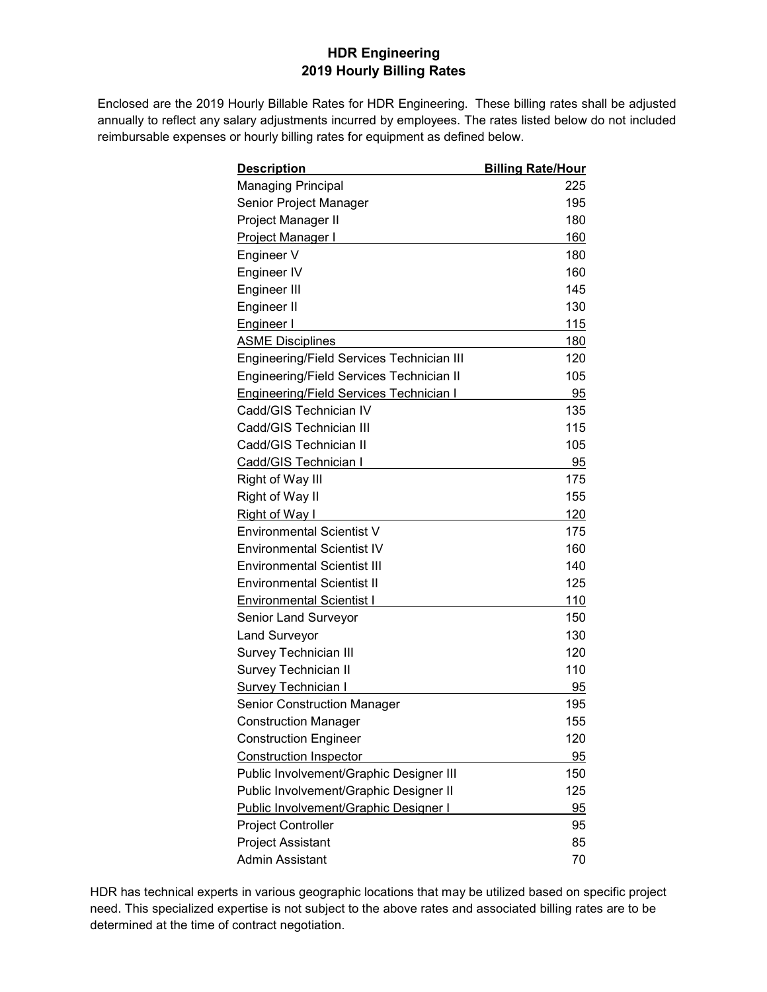## **HDR Engineering 2019 Hourly Billing Rates**

Enclosed are the 2019 Hourly Billable Rates for HDR Engineering. These billing rates shall be adjusted annually to reflect any salary adjustments incurred by employees. The rates listed below do not included reimbursable expenses or hourly billing rates for equipment as defined below.

| <u>Description</u>                             | <b>Billing Rate/Hour</b> |
|------------------------------------------------|--------------------------|
| <b>Managing Principal</b>                      | 225                      |
| Senior Project Manager                         | 195                      |
| Project Manager II                             | 180                      |
| Project Manager I                              | 160                      |
| Engineer V                                     | 180                      |
| Engineer IV                                    | 160                      |
| Engineer III                                   | 145                      |
| Engineer II                                    | 130                      |
| <b>Engineer I</b>                              | 115                      |
| <b>ASME Disciplines</b>                        | 180                      |
| Engineering/Field Services Technician III      | 120                      |
| Engineering/Field Services Technician II       | 105                      |
| <b>Engineering/Field Services Technician I</b> | 95                       |
| Cadd/GIS Technician IV                         | 135                      |
| Cadd/GIS Technician III                        | 115                      |
| Cadd/GIS Technician II                         | 105                      |
| Cadd/GIS Technician I                          | 95                       |
| Right of Way III                               | 175                      |
| Right of Way II                                | 155                      |
| <b>Right of Way I</b>                          | 120                      |
| Environmental Scientist V                      | 175                      |
| <b>Environmental Scientist IV</b>              | 160                      |
| <b>Environmental Scientist III</b>             | 140                      |
| <b>Environmental Scientist II</b>              | 125                      |
| <b>Environmental Scientist I</b>               | 110                      |
| Senior Land Surveyor                           | 150                      |
| <b>Land Surveyor</b>                           | 130                      |
| <b>Survey Technician III</b>                   | 120                      |
| Survey Technician II                           | 110                      |
| <b>Survey Technician I</b>                     | 95                       |
| <b>Senior Construction Manager</b>             | 195                      |
| <b>Construction Manager</b>                    | 155                      |
| <b>Construction Engineer</b>                   | 120                      |
| <b>Construction Inspector</b>                  | 95                       |
| Public Involvement/Graphic Designer III        | 150                      |
| Public Involvement/Graphic Designer II         | 125                      |
| <b>Public Involvement/Graphic Designer I</b>   | 95                       |
| <b>Project Controller</b>                      | 95                       |
| <b>Project Assistant</b>                       | 85                       |
| Admin Assistant                                | 70                       |

HDR has technical experts in various geographic locations that may be utilized based on specific project need. This specialized expertise is not subject to the above rates and associated billing rates are to be determined at the time of contract negotiation.